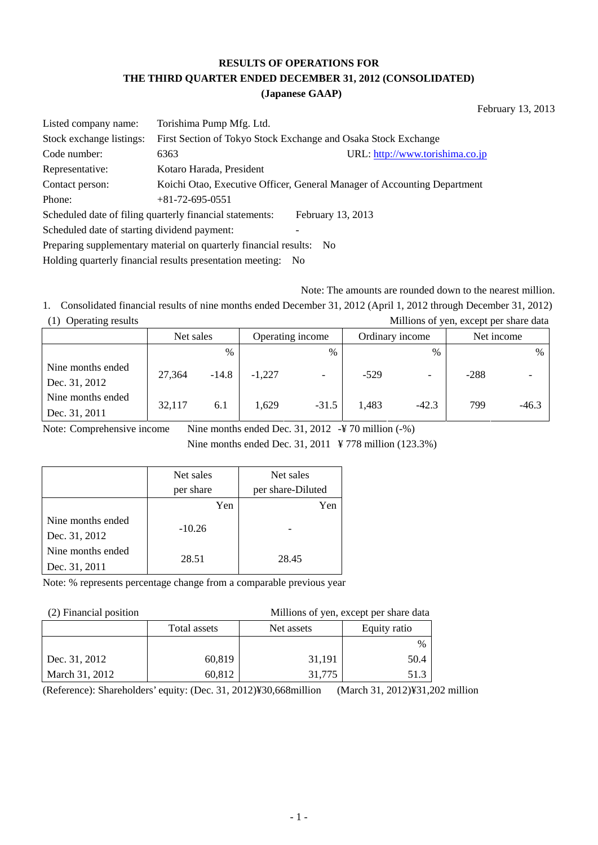# **RESULTS OF OPERATIONS FOR THE THIRD QUARTER ENDED DECEMBER 31, 2012 (CONSOLIDATED)**

#### **(Japanese GAAP)**

February 13, 2013

| Listed company name:                                                     | Torishima Pump Mfg. Ltd.                                 |                                                                          |  |  |  |  |
|--------------------------------------------------------------------------|----------------------------------------------------------|--------------------------------------------------------------------------|--|--|--|--|
| Stock exchange listings:                                                 |                                                          | First Section of Tokyo Stock Exchange and Osaka Stock Exchange           |  |  |  |  |
| Code number:                                                             | 6363                                                     | URL: http://www.torishima.co.jp                                          |  |  |  |  |
| Representative:                                                          | Kotaro Harada, President                                 |                                                                          |  |  |  |  |
| Contact person:                                                          |                                                          | Koichi Otao, Executive Officer, General Manager of Accounting Department |  |  |  |  |
| Phone:                                                                   | $+81 - 72 - 695 - 0551$                                  |                                                                          |  |  |  |  |
|                                                                          | Scheduled date of filing quarterly financial statements: | February 13, 2013                                                        |  |  |  |  |
| Scheduled date of starting dividend payment:                             |                                                          |                                                                          |  |  |  |  |
| Preparing supplementary material on quarterly financial results:<br>- No |                                                          |                                                                          |  |  |  |  |
|                                                                          |                                                          |                                                                          |  |  |  |  |

Holding quarterly financial results presentation meeting: No

Note: The amounts are rounded down to the nearest million.

1. Consolidated financial results of nine months ended December 31, 2012 (April 1, 2012 through December 31, 2012) (1) Operating results Millions of yen, except per share data

|                                    | Operating income<br>Net sales |               | Ordinary income |               | Net income |         |        |         |
|------------------------------------|-------------------------------|---------------|-----------------|---------------|------------|---------|--------|---------|
|                                    |                               | $\frac{0}{0}$ |                 | $\frac{0}{0}$ |            | $\%$    |        | $\%$    |
| Nine months ended<br>Dec. 31, 2012 | 27,364                        | $-14.8$       | $-1,227$        |               | $-529$     |         | $-288$ |         |
| Nine months ended<br>Dec. 31, 2011 | 32,117                        | 6.1           | 1.629           | $-31.5$       | 1.483      | $-42.3$ | 799    | $-46.3$ |

Note: Comprehensive income Nine months ended Dec. 31, 2012 -¥ 70 million (-%)

Nine months ended Dec. 31, 2011 ¥ 778 million (123.3%)

|                   | Net sales | Net sales         |
|-------------------|-----------|-------------------|
|                   | per share | per share-Diluted |
|                   | Yen       | Yen               |
| Nine months ended | $-10.26$  |                   |
| Dec. 31, 2012     |           |                   |
| Nine months ended | 28.51     | 28.45             |
| Dec. 31, 2011     |           |                   |

Note: % represents percentage change from a comparable previous year

(2) Financial position Millions of yen, except per share data

| $\sim$ - $\sim$ - $\sim$ - $\sim$ - $\sim$ - $\sim$ - $\sim$ - $\sim$ - $\sim$ - $\sim$ - $\sim$ - $\sim$ |              |            |              |  |
|-----------------------------------------------------------------------------------------------------------|--------------|------------|--------------|--|
|                                                                                                           | Total assets | Net assets | Equity ratio |  |
|                                                                                                           |              |            | $\%$         |  |
| Dec. 31, 2012                                                                                             | 60,819       | 31,191     | 50.4         |  |
| March 31, 2012                                                                                            | 60,812       | 31,775     | 51.3         |  |

(Reference): Shareholders' equity: (Dec. 31, 2012)¥30,668million (March 31, 2012)¥31,202 million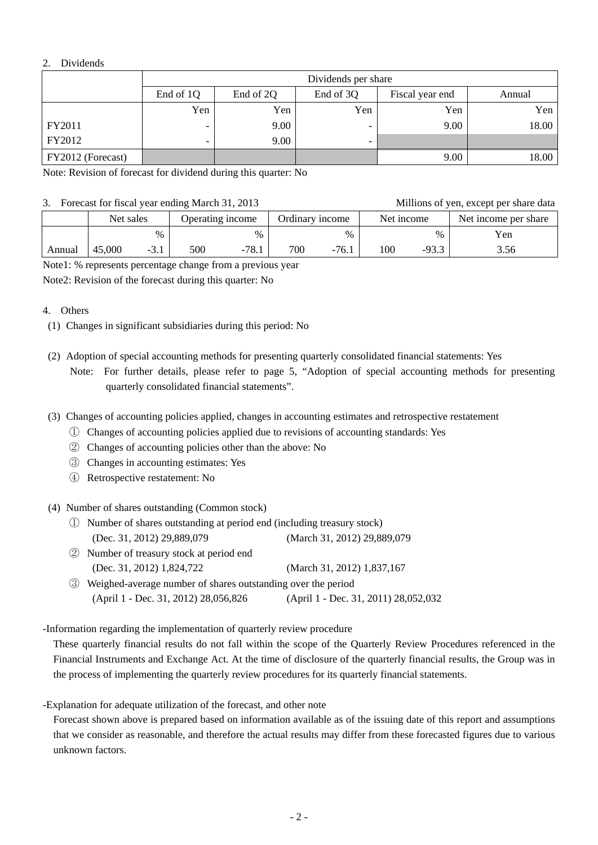#### 2. Dividends

|                   | Dividends per share                                    |      |                          |      |       |  |
|-------------------|--------------------------------------------------------|------|--------------------------|------|-------|--|
|                   | End of 1Q<br>End of 3Q<br>End of 2Q<br>Fiscal year end |      |                          |      |       |  |
|                   | Yen                                                    | Yen  | Yen                      | Yen  | Yen   |  |
| FY2011            | -                                                      | 9.00 |                          | 9.00 | 18.00 |  |
| FY2012            | -                                                      | 9.00 | $\overline{\phantom{0}}$ |      |       |  |
| FY2012 (Forecast) |                                                        |      |                          | 9.00 | 18.00 |  |

Note: Revision of forecast for dividend during this quarter: No

#### 3. Forecast for fiscal year ending March 31, 2013 Millions of yen, except per share data

| $\sigma$ . Forecast for fiscal year ending march $\sigma$ 1, $\sigma$ 1. |           |        |                  |         |                 |         |            |         | <b>NULLIOUS OF VEH, EXCEPT DEL SHALE GALA</b> |
|--------------------------------------------------------------------------|-----------|--------|------------------|---------|-----------------|---------|------------|---------|-----------------------------------------------|
|                                                                          | Net sales |        | Operating income |         | Ordinary income |         | Net income |         | Net income per share                          |
|                                                                          |           | $\%$   |                  | $\%$    |                 | $\%$    |            | $\%$    | Yen                                           |
| Annual                                                                   | 45,000    | $-3.1$ | 500              | $-78.1$ | 700             | $-76.1$ | 100        | $-93.3$ | 3.56                                          |

Note1: % represents percentage change from a previous year

Note2: Revision of the forecast during this quarter: No

- 4. Others
	- (1) Changes in significant subsidiaries during this period: No
	- (2) Adoption of special accounting methods for presenting quarterly consolidated financial statements: Yes Note: For further details, please refer to page 5, "Adoption of special accounting methods for presenting quarterly consolidated financial statements".
	- (3) Changes of accounting policies applied, changes in accounting estimates and retrospective restatement
		- ① Changes of accounting policies applied due to revisions of accounting standards: Yes
		- ② Changes of accounting policies other than the above: No
		- ③ Changes in accounting estimates: Yes
		- ④ Retrospective restatement: No
	- (4) Number of shares outstanding (Common stock)
		- ① Number of shares outstanding at period end (including treasury stock) (Dec. 31, 2012) 29,889,079 (March 31, 2012) 29,889,079
		- ② Number of treasury stock at period end (Dec. 31, 2012) 1,824,722 (March 31, 2012) 1,837,167
		- ③ Weighed-average number of shares outstanding over the period (April 1 - Dec. 31, 2012) 28,056,826 (April 1 - Dec. 31, 2011) 28,052,032

-Information regarding the implementation of quarterly review procedure

 These quarterly financial results do not fall within the scope of the Quarterly Review Procedures referenced in the Financial Instruments and Exchange Act. At the time of disclosure of the quarterly financial results, the Group was in the process of implementing the quarterly review procedures for its quarterly financial statements.

-Explanation for adequate utilization of the forecast, and other note

 Forecast shown above is prepared based on information available as of the issuing date of this report and assumptions that we consider as reasonable, and therefore the actual results may differ from these forecasted figures due to various unknown factors.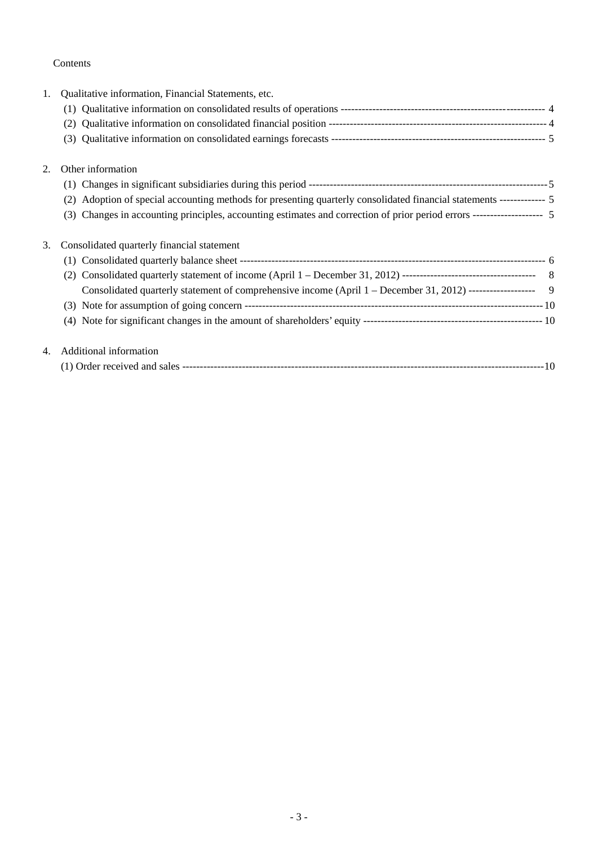### Contents

| 1. | Qualitative information, Financial Statements, etc.                                                                       |  |
|----|---------------------------------------------------------------------------------------------------------------------------|--|
|    |                                                                                                                           |  |
|    | (2)                                                                                                                       |  |
|    | (3)                                                                                                                       |  |
| 2. | Other information                                                                                                         |  |
|    |                                                                                                                           |  |
|    | Adoption of special accounting methods for presenting quarterly consolidated financial statements ------------ 5<br>(2)   |  |
|    | Changes in accounting principles, accounting estimates and correction of prior period errors ------------------- 5<br>(3) |  |
| 3. | Consolidated quarterly financial statement                                                                                |  |
|    |                                                                                                                           |  |
|    | (2)                                                                                                                       |  |
|    | Consolidated quarterly statement of comprehensive income (April 1 – December 31, 2012) ------------------- 9              |  |
|    |                                                                                                                           |  |
|    |                                                                                                                           |  |
| 4. | Additional information                                                                                                    |  |
|    |                                                                                                                           |  |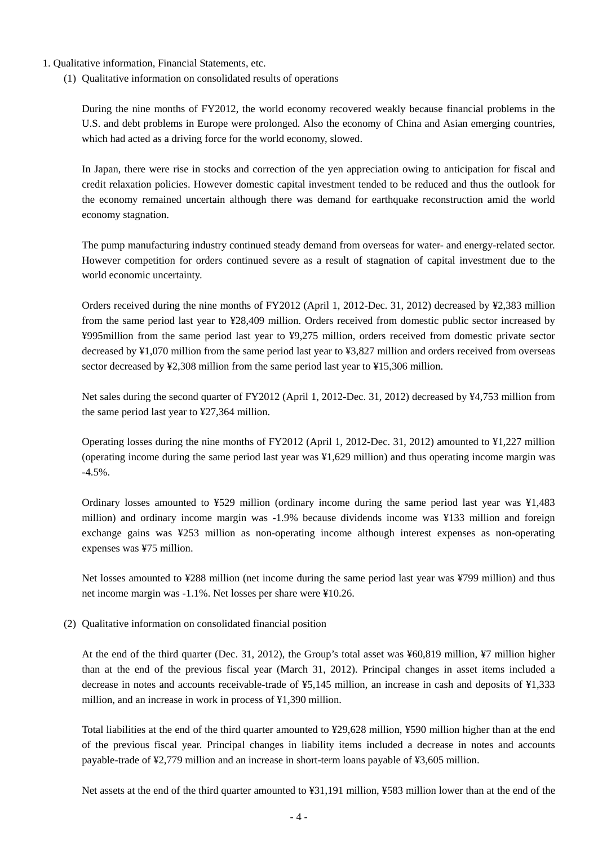- 1. Qualitative information, Financial Statements, etc.
	- (1) Qualitative information on consolidated results of operations

During the nine months of FY2012, the world economy recovered weakly because financial problems in the U.S. and debt problems in Europe were prolonged. Also the economy of China and Asian emerging countries, which had acted as a driving force for the world economy, slowed.

In Japan, there were rise in stocks and correction of the yen appreciation owing to anticipation for fiscal and credit relaxation policies. However domestic capital investment tended to be reduced and thus the outlook for the economy remained uncertain although there was demand for earthquake reconstruction amid the world economy stagnation.

The pump manufacturing industry continued steady demand from overseas for water- and energy-related sector. However competition for orders continued severe as a result of stagnation of capital investment due to the world economic uncertainty.

Orders received during the nine months of FY2012 (April 1, 2012-Dec. 31, 2012) decreased by ¥2,383 million from the same period last year to ¥28,409 million. Orders received from domestic public sector increased by ¥995million from the same period last year to ¥9,275 million, orders received from domestic private sector decreased by ¥1,070 million from the same period last year to ¥3,827 million and orders received from overseas sector decreased by ¥2,308 million from the same period last year to ¥15,306 million.

Net sales during the second quarter of FY2012 (April 1, 2012-Dec. 31, 2012) decreased by ¥4,753 million from the same period last year to ¥27,364 million.

Operating losses during the nine months of FY2012 (April 1, 2012-Dec. 31, 2012) amounted to ¥1,227 million (operating income during the same period last year was ¥1,629 million) and thus operating income margin was -4.5%.

Ordinary losses amounted to ¥529 million (ordinary income during the same period last year was ¥1,483 million) and ordinary income margin was -1.9% because dividends income was ¥133 million and foreign exchange gains was ¥253 million as non-operating income although interest expenses as non-operating expenses was ¥75 million.

Net losses amounted to ¥288 million (net income during the same period last year was ¥799 million) and thus net income margin was -1.1%. Net losses per share were ¥10.26.

(2) Qualitative information on consolidated financial position

At the end of the third quarter (Dec. 31, 2012), the Group's total asset was ¥60,819 million, ¥7 million higher than at the end of the previous fiscal year (March 31, 2012). Principal changes in asset items included a decrease in notes and accounts receivable-trade of ¥5,145 million, an increase in cash and deposits of ¥1,333 million, and an increase in work in process of ¥1,390 million.

Total liabilities at the end of the third quarter amounted to ¥29,628 million, ¥590 million higher than at the end of the previous fiscal year. Principal changes in liability items included a decrease in notes and accounts payable-trade of ¥2,779 million and an increase in short-term loans payable of ¥3,605 million.

Net assets at the end of the third quarter amounted to ¥31,191 million, ¥583 million lower than at the end of the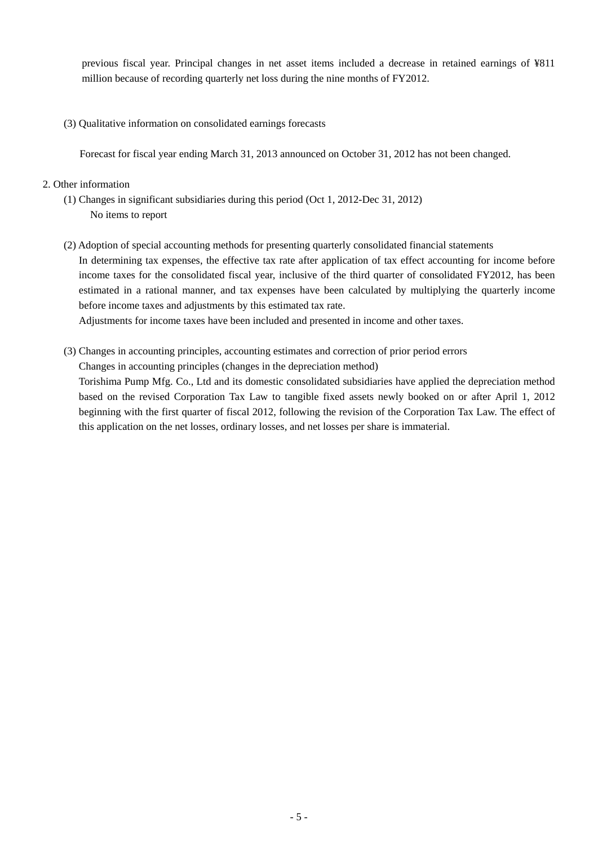previous fiscal year. Principal changes in net asset items included a decrease in retained earnings of ¥811 million because of recording quarterly net loss during the nine months of FY2012.

(3) Qualitative information on consolidated earnings forecasts

Forecast for fiscal year ending March 31, 2013 announced on October 31, 2012 has not been changed.

### 2. Other information

- (1) Changes in significant subsidiaries during this period (Oct 1, 2012-Dec 31, 2012) No items to report
- (2) Adoption of special accounting methods for presenting quarterly consolidated financial statements In determining tax expenses, the effective tax rate after application of tax effect accounting for income before income taxes for the consolidated fiscal year, inclusive of the third quarter of consolidated FY2012, has been estimated in a rational manner, and tax expenses have been calculated by multiplying the quarterly income before income taxes and adjustments by this estimated tax rate.

Adjustments for income taxes have been included and presented in income and other taxes.

(3) Changes in accounting principles, accounting estimates and correction of prior period errors

Changes in accounting principles (changes in the depreciation method)

Torishima Pump Mfg. Co., Ltd and its domestic consolidated subsidiaries have applied the depreciation method based on the revised Corporation Tax Law to tangible fixed assets newly booked on or after April 1, 2012 beginning with the first quarter of fiscal 2012, following the revision of the Corporation Tax Law. The effect of this application on the net losses, ordinary losses, and net losses per share is immaterial.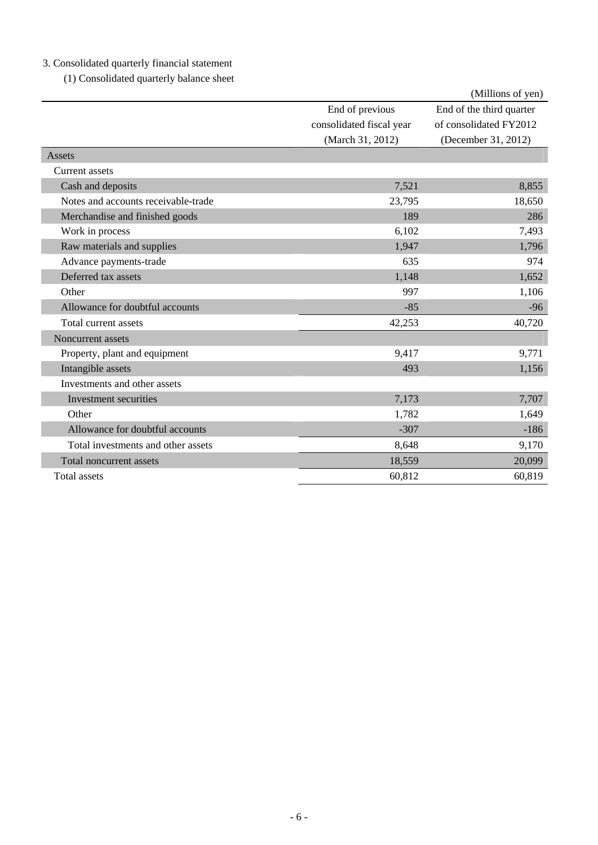# 3. Consolidated quarterly financial statement

(1) Consolidated quarterly balance sheet

|                                     |                          | (Millions of yen)        |
|-------------------------------------|--------------------------|--------------------------|
|                                     | End of previous          | End of the third quarter |
|                                     | consolidated fiscal year | of consolidated FY2012   |
|                                     | (March 31, 2012)         | (December 31, 2012)      |
| Assets                              |                          |                          |
| Current assets                      |                          |                          |
| Cash and deposits                   | 7,521                    | 8,855                    |
| Notes and accounts receivable-trade | 23,795                   | 18,650                   |
| Merchandise and finished goods      | 189                      | 286                      |
| Work in process                     | 6,102                    | 7,493                    |
| Raw materials and supplies          | 1,947                    | 1,796                    |
| Advance payments-trade              | 635                      | 974                      |
| Deferred tax assets                 | 1,148                    | 1,652                    |
| Other                               | 997                      | 1,106                    |
| Allowance for doubtful accounts     | $-85$                    | $-96$                    |
| Total current assets                | 42,253                   | 40,720                   |
| Noncurrent assets                   |                          |                          |
| Property, plant and equipment       | 9,417                    | 9,771                    |
| Intangible assets                   | 493                      | 1,156                    |
| Investments and other assets        |                          |                          |
| Investment securities               | 7,173                    | 7,707                    |
| Other                               | 1,782                    | 1,649                    |
| Allowance for doubtful accounts     | $-307$                   | $-186$                   |
| Total investments and other assets  | 8,648                    | 9,170                    |
| Total noncurrent assets             | 18,559                   | 20,099                   |
| Total assets                        | 60,812                   | 60,819                   |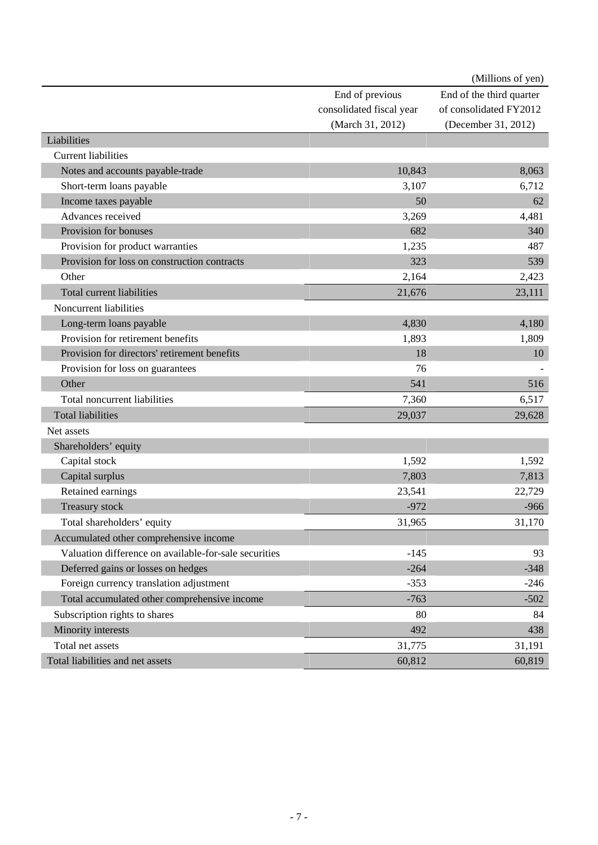|                                                       |                          | (Millions of yen)        |
|-------------------------------------------------------|--------------------------|--------------------------|
|                                                       | End of previous          | End of the third quarter |
|                                                       | consolidated fiscal year | of consolidated FY2012   |
|                                                       | (March 31, 2012)         | (December 31, 2012)      |
| Liabilities                                           |                          |                          |
| <b>Current liabilities</b>                            |                          |                          |
| Notes and accounts payable-trade                      | 10,843                   | 8,063                    |
| Short-term loans payable                              | 3,107                    | 6,712                    |
| Income taxes payable                                  | 50                       | 62                       |
| Advances received                                     | 3,269                    | 4,481                    |
| Provision for bonuses                                 | 682                      | 340                      |
| Provision for product warranties                      | 1,235                    | 487                      |
| Provision for loss on construction contracts          | 323                      | 539                      |
| Other                                                 | 2,164                    | 2,423                    |
| <b>Total current liabilities</b>                      | 21,676                   | 23,111                   |
| Noncurrent liabilities                                |                          |                          |
| Long-term loans payable                               | 4,830                    | 4,180                    |
| Provision for retirement benefits                     | 1,893                    | 1,809                    |
| Provision for directors' retirement benefits          | 18                       | 10                       |
| Provision for loss on guarantees                      | 76                       |                          |
| Other                                                 | 541                      | 516                      |
| Total noncurrent liabilities                          | 7,360                    | 6,517                    |
| <b>Total liabilities</b>                              | 29,037                   | 29,628                   |
| Net assets                                            |                          |                          |
| Shareholders' equity                                  |                          |                          |
| Capital stock                                         | 1,592                    | 1,592                    |
| Capital surplus                                       | 7,803                    | 7,813                    |
| Retained earnings                                     | 23,541                   | 22,729                   |
| <b>Treasury stock</b>                                 | $-972$                   | $-966$                   |
| Total shareholders' equity                            | 31,965                   | 31,170                   |
| Accumulated other comprehensive income                |                          |                          |
| Valuation difference on available-for-sale securities | $-145$                   | 93                       |
| Deferred gains or losses on hedges                    | $-264$                   | $-348$                   |
| Foreign currency translation adjustment               | $-353$                   | $-246$                   |
| Total accumulated other comprehensive income          | $-763$                   | $-502$                   |
| Subscription rights to shares                         | 80                       | 84                       |
| Minority interests                                    | 492                      | 438                      |
| Total net assets                                      | 31,775                   | 31,191                   |
| Total liabilities and net assets                      | 60,812                   | 60,819                   |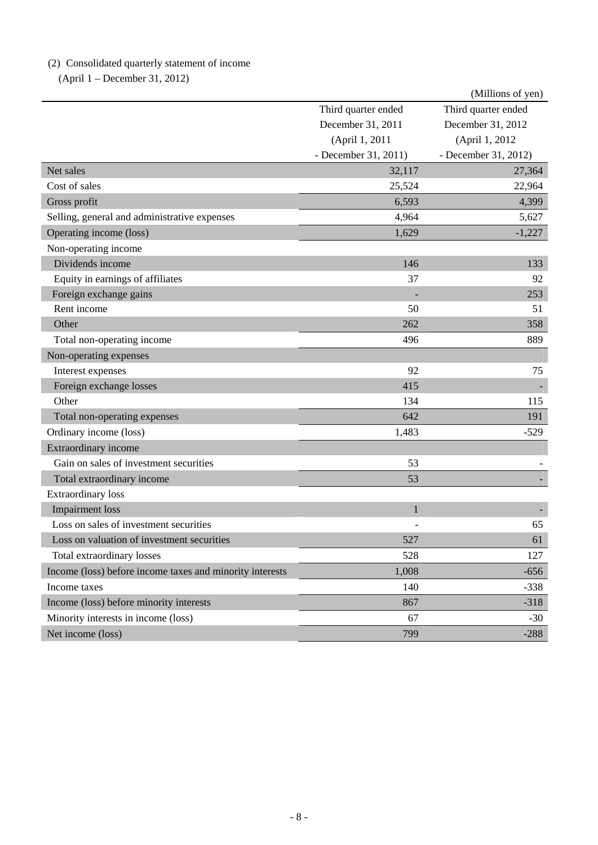# (2) Consolidated quarterly statement of income

(April 1 – December 31, 2012)

|                                                          |                      | (Millions of yen)    |
|----------------------------------------------------------|----------------------|----------------------|
|                                                          | Third quarter ended  | Third quarter ended  |
|                                                          | December 31, 2011    | December 31, 2012    |
|                                                          | (April 1, 2011       | (April 1, 2012)      |
|                                                          | - December 31, 2011) | - December 31, 2012) |
| Net sales                                                | 32,117               | 27,364               |
| Cost of sales                                            | 25,524               | 22,964               |
| Gross profit                                             | 6,593                | 4,399                |
| Selling, general and administrative expenses             | 4,964                | 5,627                |
| Operating income (loss)                                  | 1,629                | $-1,227$             |
| Non-operating income                                     |                      |                      |
| Dividends income                                         | 146                  | 133                  |
| Equity in earnings of affiliates                         | 37                   | 92                   |
| Foreign exchange gains                                   |                      | 253                  |
| Rent income                                              | 50                   | 51                   |
| Other                                                    | 262                  | 358                  |
| Total non-operating income                               | 496                  | 889                  |
| Non-operating expenses                                   |                      |                      |
| Interest expenses                                        | 92                   | 75                   |
| Foreign exchange losses                                  | 415                  |                      |
| Other                                                    | 134                  | 115                  |
| Total non-operating expenses                             | 642                  | 191                  |
| Ordinary income (loss)                                   | 1,483                | $-529$               |
| Extraordinary income                                     |                      |                      |
| Gain on sales of investment securities                   | 53                   |                      |
| Total extraordinary income                               | 53                   |                      |
| <b>Extraordinary loss</b>                                |                      |                      |
| <b>Impairment</b> loss                                   | $\mathbf{1}$         |                      |
| Loss on sales of investment securities                   |                      | 65                   |
| Loss on valuation of investment securities               | 527                  | 61                   |
| Total extraordinary losses                               | 528                  | 127                  |
| Income (loss) before income taxes and minority interests | 1,008                | $-656$               |
| Income taxes                                             | 140                  | $-338$               |
| Income (loss) before minority interests                  | 867                  | $-318$               |
| Minority interests in income (loss)                      | 67                   | $-30$                |
| Net income (loss)                                        | 799                  | $-288$               |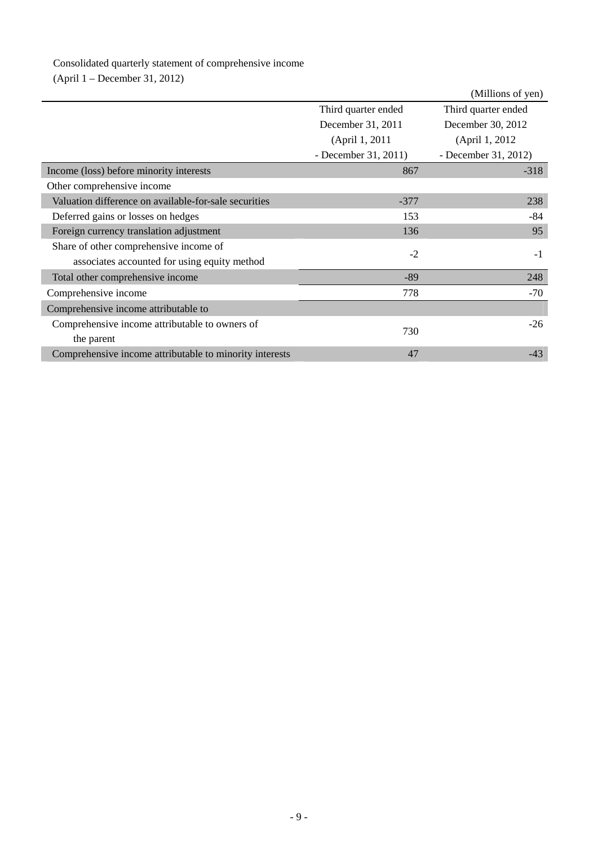# Consolidated quarterly statement of comprehensive income

(April 1 – December 31, 2012)

|                                                         |                      | (Millions of yen)    |
|---------------------------------------------------------|----------------------|----------------------|
|                                                         | Third quarter ended  | Third quarter ended  |
|                                                         | December 31, 2011    | December 30, 2012    |
|                                                         | (April 1, 2011       | (April 1, 2012)      |
|                                                         | - December 31, 2011) | - December 31, 2012) |
| Income (loss) before minority interests                 | 867                  | $-318$               |
| Other comprehensive income                              |                      |                      |
| Valuation difference on available-for-sale securities   | $-377$               | 238                  |
| Deferred gains or losses on hedges                      | 153                  | $-84$                |
| Foreign currency translation adjustment                 | 136                  | 95                   |
| Share of other comprehensive income of                  | $-2$                 | $-1$                 |
| associates accounted for using equity method            |                      |                      |
| Total other comprehensive income                        | $-89$                | 248                  |
| Comprehensive income                                    | 778                  | $-70$                |
| Comprehensive income attributable to                    |                      |                      |
| Comprehensive income attributable to owners of          |                      | $-26$                |
| the parent                                              | 730                  |                      |
| Comprehensive income attributable to minority interests | 47                   | $-43$                |